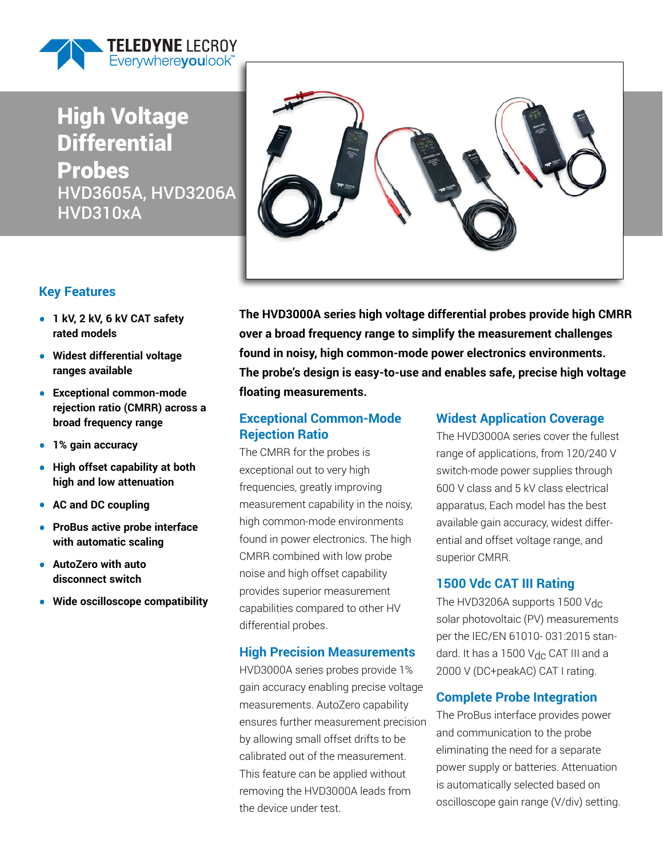

### High Voltage **Differential** Probes HVD3605A, HVD3206A HVD310xA

### **Key Features**

- **• 1 kV, 2 kV, 6 kV CAT safety rated models**
- **• Widest differential voltage ranges available**
- **• Exceptional common-mode rejection ratio (CMRR) across a broad frequency range**
- **• 1% gain accuracy**
- **• High offset capability at both high and low attenuation**
- **• AC and DC coupling**
- **• ProBus active probe interface with automatic scaling**
- **• AutoZero with auto disconnect switch**
- **• Wide oscilloscope compatibility**



**The HVD3000A series high voltage differential probes provide high CMRR over a broad frequency range to simplify the measurement challenges found in noisy, high common-mode power electronics environments. The probe's design is easy-to-use and enables safe, precise high voltage floating measurements.**

#### **Exceptional Common-Mode Rejection Ratio**

The CMRR for the probes is exceptional out to very high frequencies, greatly improving measurement capability in the noisy, high common-mode environments found in power electronics. The high CMRR combined with low probe noise and high offset capability provides superior measurement capabilities compared to other HV differential probes.

#### **High Precision Measurements**

HVD3000A series probes provide 1% gain accuracy enabling precise voltage measurements. AutoZero capability ensures further measurement precision by allowing small offset drifts to be calibrated out of the measurement. This feature can be applied without removing the HVD3000A leads from the device under test.

#### **Widest Application Coverage**

The HVD3000A series cover the fullest range of applications, from 120/240 V switch-mode power supplies through 600 V class and 5 kV class electrical apparatus, Each model has the best available gain accuracy, widest differential and offset voltage range, and superior CMRR.

#### **1500 Vdc CAT III Rating**

The HVD3206A supports 1500 Vdc solar photovoltaic (PV) measurements per the IEC/EN 61010- 031:2015 standard. It has a 1500  $V_{\text{dc}}$  CAT III and a 2000 V (DC+peakAC) CAT I rating.

#### **Complete Probe Integration**

The ProBus interface provides power and communication to the probe eliminating the need for a separate power supply or batteries. Attenuation is automatically selected based on oscilloscope gain range (V/div) setting.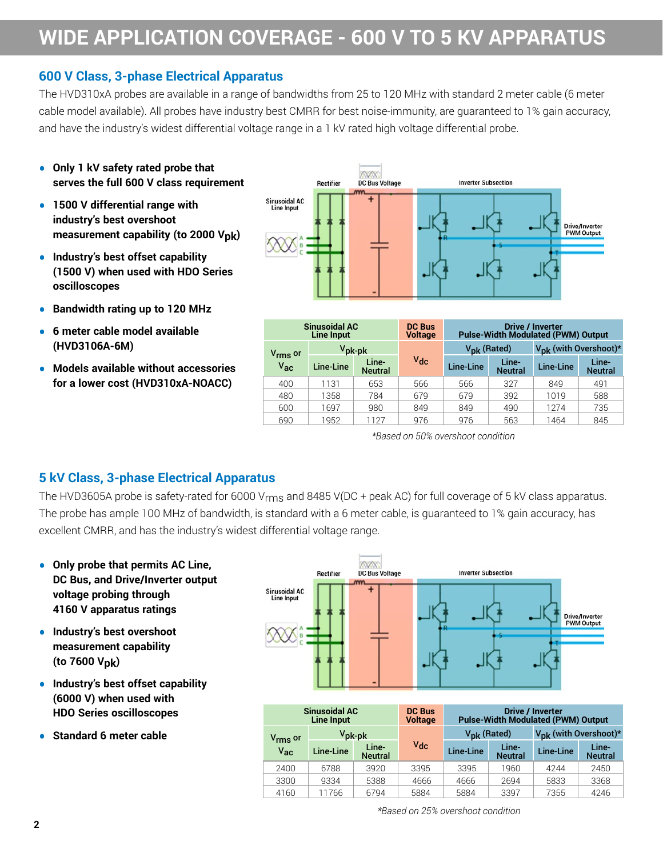## **WIDE APPLICATION COVERAGE - 600 V TO 5 KV APPARATUS**

#### **600 V Class, 3-phase Electrical Apparatus**

The HVD310xA probes are available in a range of bandwidths from 25 to 120 MHz with standard 2 meter cable (6 meter cable model available). All probes have industry best CMRR for best noise-immunity, are guaranteed to 1% gain accuracy, and have the industry's widest differential voltage range in a 1 kV rated high voltage differential probe.

- **• Only 1 kV safety rated probe that serves the full 600 V class requirement**
- **• 1500 V differential range with industry's best overshoot measurement capability (to 2000 Vpk)**
- **• Industry's best offset capability (1500 V) when used with HDO Series oscilloscopes**
- **• Bandwidth rating up to 120 MHz**
- **• 6 meter cable model available (HVD3106A-6M)**
- **• Models available without accessories for a lower cost (HVD310xA-NOACC)**



| <b>Sinusoidal AC</b><br><b>Line Input</b>                   |           | <b>DC Bus</b><br><b>Voltage</b> | <b>Drive / Inverter</b><br><b>Pulse-Width Modulated (PWM) Output</b> |           |                                   |           |                         |
|-------------------------------------------------------------|-----------|---------------------------------|----------------------------------------------------------------------|-----------|-----------------------------------|-----------|-------------------------|
| $V_{\mathsf{pk}\text{-}\mathsf{pk}}$<br>V <sub>rms</sub> or |           |                                 | V <sub>pk</sub> (Rated)                                              |           | V <sub>DK</sub> (with Overshoot)* |           |                         |
| $V_{ac}$                                                    | Line-Line | Line-<br><b>Neutral</b>         | $V_{dc}$                                                             | Line-Line | Line-<br><b>Neutral</b>           | Line-Line | Line-<br><b>Neutral</b> |
| 400                                                         | 1131      | 653                             | 566                                                                  | 566       | 327                               | 849       | 491                     |
| 480                                                         | 1358      | 784                             | 679                                                                  | 679       | 392                               | 1019      | 588                     |
| 600                                                         | 1697      | 980                             | 849                                                                  | 849       | 490                               | 1274      | 735                     |
| 690                                                         | 1952      | 1127                            | 976                                                                  | 976       | 563                               | 1464      | 845                     |

*\*Based on 50% overshoot condition*

### **5 kV Class, 3-phase Electrical Apparatus**

The HVD3605A probe is safety-rated for 6000 V<sub>rms</sub> and 8485 V(DC + peak AC) for full coverage of 5 kV class apparatus. The probe has ample 100 MHz of bandwidth, is standard with a 6 meter cable, is guaranteed to 1% gain accuracy, has excellent CMRR, and has the industry's widest differential voltage range.

- **• Only probe that permits AC Line, DC Bus, and Drive/Inverter output voltage probing through 4160 V apparatus ratings**
- **• Industry's best overshoot measurement capability (to 7600 Vpk)**
- **• Industry's best offset capability (6000 V) when used with HDO Series oscilloscopes**
- **• Standard 6 meter cable**



| <b>Sinusoidal AC</b><br><b>Line Input</b> |                 |                         | <b>DC Bus</b><br><b>Voltage</b> | <b>Drive / Inverter</b><br><b>Pulse-Width Modulated (PWM) Output</b> |                         |                                   |                         |
|-------------------------------------------|-----------------|-------------------------|---------------------------------|----------------------------------------------------------------------|-------------------------|-----------------------------------|-------------------------|
| V <sub>rms</sub> or                       | $V_{\rm pk-pk}$ |                         |                                 | V <sub>pk</sub> (Rated)                                              |                         | $V_{\text{DK}}$ (with Overshoot)* |                         |
| $V_{ac}$                                  | Line-Line       | Line-<br><b>Neutral</b> | $V_{dc}$                        | Line-Line                                                            | Line-<br><b>Neutral</b> | Line-Line                         | Line-<br><b>Neutral</b> |
| 2400                                      | 6788            | 3920                    | 3395                            | 3395                                                                 | 1960                    | 4244                              | 2450                    |
| 3300                                      | 9334            | 5388                    | 4666                            | 4666                                                                 | 2694                    | 5833                              | 3368                    |
| 4160                                      | 11766           | 6794                    | 5884                            | 5884                                                                 | 3397                    | 7355                              | 4246                    |

*\*Based on 25% overshoot condition*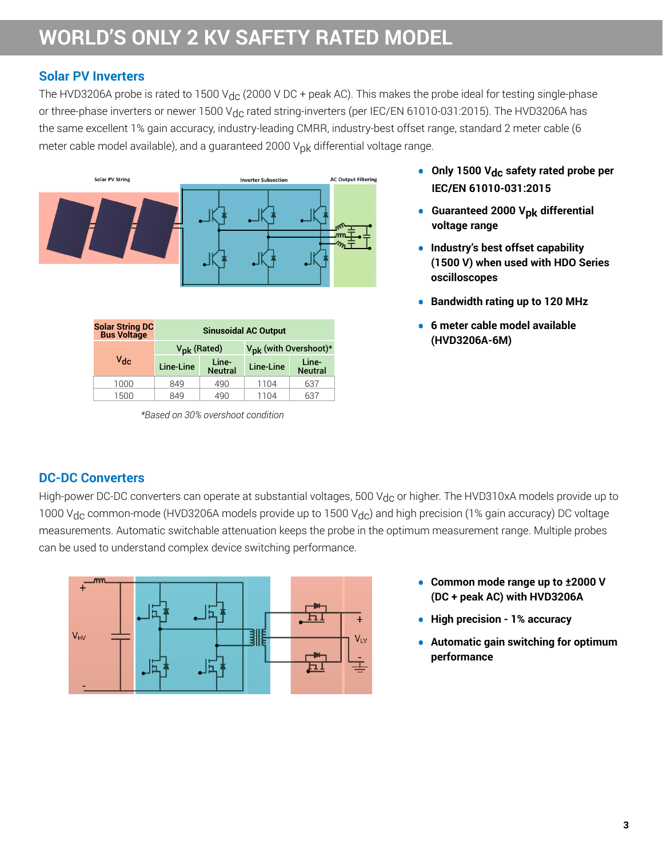### **WORLD'S ONLY 2 KV SAFETY RATED MODEL**

#### **Solar PV Inverters**

The HVD3206A probe is rated to 1500 V<sub>dc</sub> (2000 V DC + peak AC). This makes the probe ideal for testing single-phase or three-phase inverters or newer 1500 V<sub>dc</sub> rated string-inverters (per IEC/EN 61010-031:2015). The HVD3206A has the same excellent 1% gain accuracy, industry-leading CMRR, industry-best offset range, standard 2 meter cable (6 meter cable model available), and a guaranteed 2000  $V_{\text{D}k}$  differential voltage range.



| <b>Solar String DC<br/>Bus Voltage</b> | <b>Sinusoidal AC Output</b> |                         |                                   |                         |
|----------------------------------------|-----------------------------|-------------------------|-----------------------------------|-------------------------|
|                                        | V <sub>pk</sub> (Rated)     |                         | V <sub>pk</sub> (with Overshoot)* |                         |
| $V_{\text{dc}}$                        | Line-Line                   | Line-<br><b>Neutral</b> | Line-Line                         | Line-<br><b>Neutral</b> |
| 1000                                   | 849                         | 490                     | 1104                              | 637                     |
| 1500                                   | 849                         | 490                     | 1104                              | 637                     |

*\*Based on 30% overshoot condition*

- **• Only 1500 Vdc safety rated probe per IEC/EN 61010-031:2015**
- **• Guaranteed 2000 Vpk differential voltage range**
- **• Industry's best offset capability (1500 V) when used with HDO Series oscilloscopes**
- **• Bandwidth rating up to 120 MHz**
- **• 6 meter cable model available (HVD3206A-6M)**

### **DC-DC Converters**

High-power DC-DC converters can operate at substantial voltages, 500 V<sub>dc</sub> or higher. The HVD310xA models provide up to 1000 V<sub>dc</sub> common-mode (HVD3206A models provide up to 1500 V<sub>dc</sub>) and high precision (1% gain accuracy) DC voltage measurements. Automatic switchable attenuation keeps the probe in the optimum measurement range. Multiple probes can be used to understand complex device switching performance.



- **• Common mode range up to ±2000 V (DC + peak AC) with HVD3206A**
- **• High precision 1% accuracy**
- **• Automatic gain switching for optimum performance**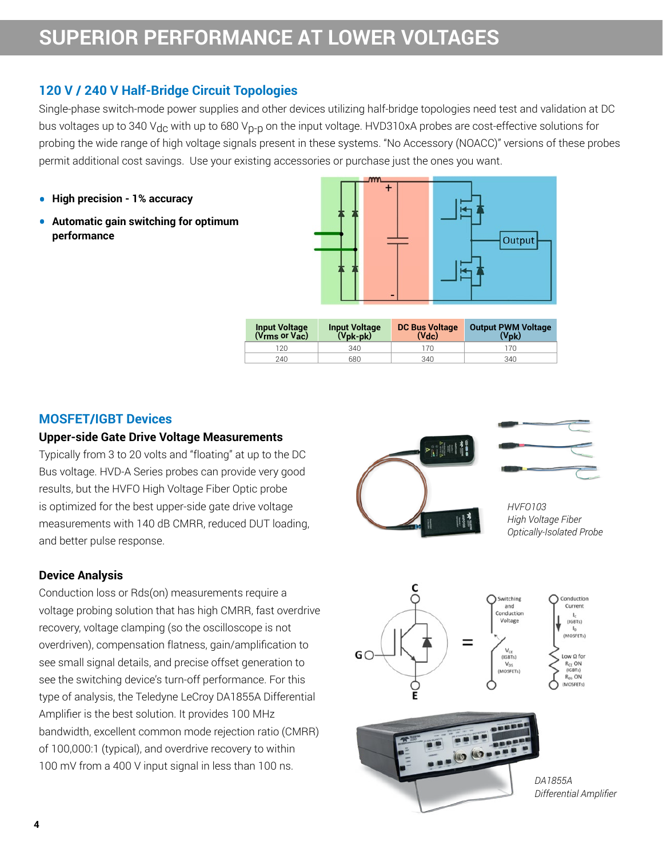#### **120 V / 240 V Half-Bridge Circuit Topologies**

Single-phase switch-mode power supplies and other devices utilizing half-bridge topologies need test and validation at DC bus voltages up to 340 V<sub>dc</sub> with up to 680 V<sub>D-D</sub> on the input voltage. HVD310xA probes are cost-effective solutions for probing the wide range of high voltage signals present in these systems. "No Accessory (NOACC)" versions of these probes permit additional cost savings. Use your existing accessories or purchase just the ones you want.

- **• High precision 1% accuracy**
- **• Automatic gain switching for optimum performance**



| <b>Input Voltage</b><br>(Vrms or Vac) | <b>Input Voltage</b><br>(Vpk-pk) | <b>DC Bus Voltage</b><br>(Vdc) | <b>Output PWM Voltage</b><br>$(V_{\rm DK})$ |
|---------------------------------------|----------------------------------|--------------------------------|---------------------------------------------|
| 120.                                  | 340                              | 70                             | 170                                         |
| 240                                   | 680                              | 340                            | 340                                         |

#### **MOSFET/IGBT Devices**

#### **Upper-side Gate Drive Voltage Measurements**

Typically from 3 to 20 volts and "floating" at up to the DC Bus voltage. HVD-A Series probes can provide very good results, but the HVFO High Voltage Fiber Optic probe is optimized for the best upper-side gate drive voltage measurements with 140 dB CMRR, reduced DUT loading, and better pulse response.

#### **Device Analysis**

Conduction loss or Rds(on) measurements require a voltage probing solution that has high CMRR, fast overdrive recovery, voltage clamping (so the oscilloscope is not overdriven), compensation flatness, gain/amplification to see small signal details, and precise offset generation to see the switching device's turn-off performance. For this type of analysis, the Teledyne LeCroy DA1855A Differential Amplifier is the best solution. It provides 100 MHz bandwidth, excellent common mode rejection ratio (CMRR) of 100,000:1 (typical), and overdrive recovery to within 100 mV from a 400 V input signal in less than 100 ns.



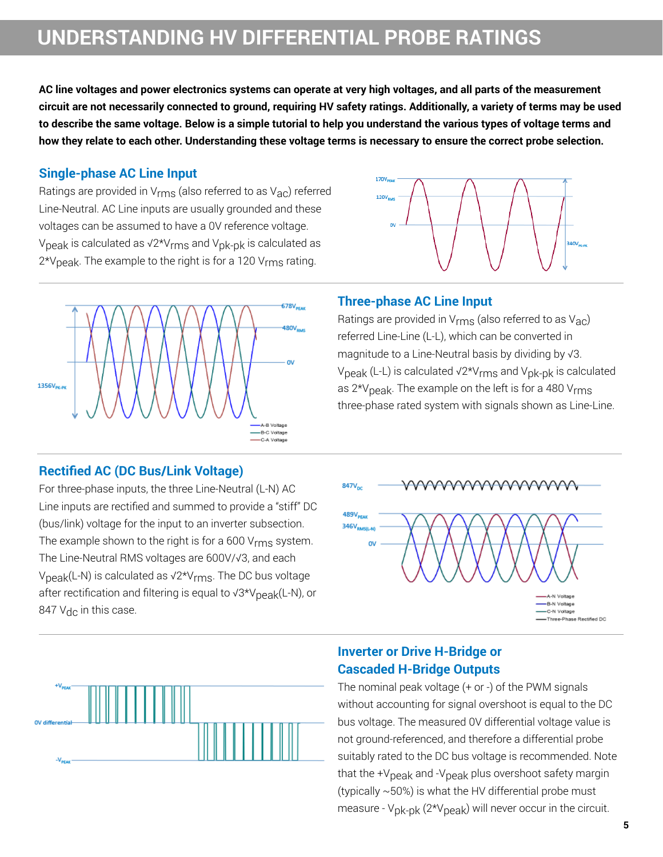**AC line voltages and power electronics systems can operate at very high voltages, and all parts of the measurement circuit are not necessarily connected to ground, requiring HV safety ratings. Additionally, a variety of terms may be used to describe the same voltage. Below is a simple tutorial to help you understand the various types of voltage terms and how they relate to each other. Understanding these voltage terms is necessary to ensure the correct probe selection.**

#### **Single-phase AC Line Input**

Ratings are provided in  $V_{rms}$  (also referred to as  $V_{AC}$ ) referred Line-Neutral. AC Line inputs are usually grounded and these voltages can be assumed to have a 0V reference voltage. V<sub>peak</sub> is calculated as  $\sqrt{2*V_{rms}}$  and V<sub>pk-pk</sub> is calculated as 2\*V<sub>peak</sub>. The example to the right is for a 120 V<sub>rms</sub> rating.



### **Rectified AC (DC Bus/Link Voltage)**

For three-phase inputs, the three Line-Neutral (L-N) AC Line inputs are rectified and summed to provide a "stiff" DC (bus/link) voltage for the input to an inverter subsection. The example shown to the right is for a 600 V<sub>rms</sub> system. The Line-Neutral RMS voltages are 600V/√3, and each Vpeak(L-N) is calculated as √2\*Vrms. The DC bus voltage after rectification and filtering is equal to √3\*V<sub>peak</sub>(L-N), or 847  $V_{\text{dc}}$  in this case.





#### **Inverter or Drive H-Bridge or Cascaded H-Bridge Outputs**

**Three-phase AC Line Input**

170V

Ratings are provided in  $V_{\text{rms}}$  (also referred to as  $V_{\text{ac}}$ ) referred Line-Line (L-L), which can be converted in magnitude to a Line-Neutral basis by dividing by √3.

V<sub>peak</sub> (L-L) is calculated √2\*V<sub>rms</sub> and V<sub>pk-pk</sub> is calculated as  $2*V_{\text{peak}}$ . The example on the left is for a 480  $V_{\text{rms}}$ three-phase rated system with signals shown as Line-Line.

The nominal peak voltage (+ or -) of the PWM signals without accounting for signal overshoot is equal to the DC bus voltage. The measured 0V differential voltage value is not ground-referenced, and therefore a differential probe suitably rated to the DC bus voltage is recommended. Note that the +V<sub>peak</sub> and -V<sub>peak</sub> plus overshoot safety margin (typically ~50%) is what the HV differential probe must measure -  $V_{\text{pk-pk}}$  (2\* $V_{\text{peak}}$ ) will never occur in the circuit.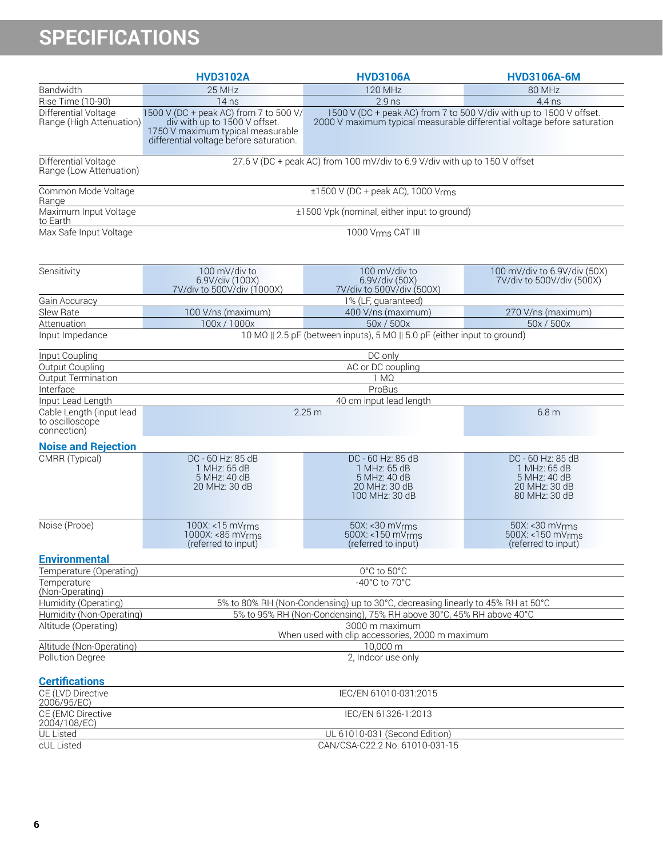# **SPECIFICATIONS**

|                                                            | <b>HVD3102A</b>                                                                                                                                         | <b>HVD3106A</b>                                                                      | <b>HVD3106A-6M</b>                                                                                                                              |  |  |
|------------------------------------------------------------|---------------------------------------------------------------------------------------------------------------------------------------------------------|--------------------------------------------------------------------------------------|-------------------------------------------------------------------------------------------------------------------------------------------------|--|--|
| Bandwidth                                                  | 25 MHz                                                                                                                                                  | <b>120 MHz</b>                                                                       | 80 MHz                                                                                                                                          |  |  |
| Rise Time (10-90)                                          | 14 <sub>ns</sub>                                                                                                                                        | $2.9$ ns                                                                             | $4.4$ ns                                                                                                                                        |  |  |
| Differential Voltage<br>Range (High Attenuation)           | 1500 V (DC + peak AC) from 7 to 500 V/<br>div with up to 1500 V offset.<br>1750 V maximum typical measurable<br>differential voltage before saturation. |                                                                                      | 1500 V (DC + peak AC) from 7 to 500 V/div with up to 1500 V offset.<br>2000 V maximum typical measurable differential voltage before saturation |  |  |
| Differential Voltage<br>Range (Low Attenuation)            |                                                                                                                                                         | 27.6 V (DC + peak AC) from 100 mV/div to 6.9 V/div with up to 150 V offset           |                                                                                                                                                 |  |  |
| Common Mode Voltage<br>Range                               |                                                                                                                                                         | $±1500$ V (DC + peak AC), 1000 Vrms                                                  |                                                                                                                                                 |  |  |
| Maximum Input Voltage<br>to Earth                          |                                                                                                                                                         | ±1500 Vpk (nominal, either input to ground)                                          |                                                                                                                                                 |  |  |
| Max Safe Input Voltage                                     |                                                                                                                                                         | 1000 Vrms CAT III                                                                    |                                                                                                                                                 |  |  |
| Sensitivity                                                | 100 mV/div to<br>6.9V/div (100X)<br>7V/div to 500V/div (1000X)                                                                                          | 100 mV/div to<br>6.9V/div (50X)<br>7V/div to 500V/div (500X)                         | 100 mV/div to 6.9V/div (50X)<br>7V/div to 500V/div (500X)                                                                                       |  |  |
| Gain Accuracy                                              |                                                                                                                                                         | 1% (LF, guaranteed)                                                                  |                                                                                                                                                 |  |  |
| Slew Rate                                                  | 100 V/ns (maximum)                                                                                                                                      | 400 V/ns (maximum)                                                                   | 270 V/ns (maximum)                                                                                                                              |  |  |
| Attenuation                                                | 100x/1000x                                                                                                                                              | 50x / 500x                                                                           | 50x / 500x                                                                                                                                      |  |  |
| Input Impedance                                            |                                                                                                                                                         | 10 MΩ    2.5 pF (between inputs), 5 MΩ    5.0 pF (either input to ground)            |                                                                                                                                                 |  |  |
| Input Coupling                                             |                                                                                                                                                         | DC only                                                                              |                                                                                                                                                 |  |  |
| Output Coupling                                            |                                                                                                                                                         | AC or DC coupling                                                                    |                                                                                                                                                 |  |  |
| Output Termination                                         |                                                                                                                                                         | $1 M\Omega$                                                                          |                                                                                                                                                 |  |  |
| Interface                                                  |                                                                                                                                                         | ProBus                                                                               |                                                                                                                                                 |  |  |
| Input Lead Length                                          |                                                                                                                                                         | 40 cm input lead length                                                              |                                                                                                                                                 |  |  |
| Cable Length (input lead<br>to oscilloscope<br>connection) | 2.25m                                                                                                                                                   |                                                                                      | 6.8 <sub>m</sub>                                                                                                                                |  |  |
| <b>Noise and Rejection</b>                                 |                                                                                                                                                         |                                                                                      |                                                                                                                                                 |  |  |
| CMRR (Typical)                                             | DC - 60 Hz: 85 dB<br>1 MHz: 65 dB<br>5 MHz: 40 dB<br>20 MHz: 30 dB                                                                                      | DC - 60 Hz: 85 dB<br>1 MHz: 65 dB<br>5 MHz: 40 dB<br>20 MHz: 30 dB<br>100 MHz: 30 dB | DC - 60 Hz: 85 dB<br>1 MHz: 65 dB<br>5 MHz: 40 dB<br>20 MHz: 30 dB<br>80 MHz: 30 dB                                                             |  |  |
| Noise (Probe)                                              | 100X: <15 mVrms<br>1000X: < 85 mVrms<br>(referred to input)                                                                                             | 50X: < 30 mVrms<br>500X: <150 mVrms<br>(referred to input)                           | 50X: < 30 mVrms<br>500X: <150 mVrms<br>(referred to input)                                                                                      |  |  |
| <b>Environmental</b>                                       |                                                                                                                                                         |                                                                                      |                                                                                                                                                 |  |  |
| Temperature (Operating)                                    |                                                                                                                                                         | 0°C to 50°C                                                                          |                                                                                                                                                 |  |  |
| Temperature<br>(Non-Operating)                             |                                                                                                                                                         | -40 $^{\circ}$ C to 70 $^{\circ}$ C                                                  |                                                                                                                                                 |  |  |
| Humidity (Operating)                                       |                                                                                                                                                         | 5% to 80% RH (Non-Condensing) up to 30°C, decreasing linearly to 45% RH at 50°C      |                                                                                                                                                 |  |  |
| Humidity (Non-Operating)                                   |                                                                                                                                                         | 5% to 95% RH (Non-Condensing), 75% RH above 30°C, 45% RH above 40°C                  |                                                                                                                                                 |  |  |
| Altitude (Operating)                                       | 3000 m maximum<br>When used with clip accessories, 2000 m maximum                                                                                       |                                                                                      |                                                                                                                                                 |  |  |
| Altitude (Non-Operating)<br>10,000 m                       |                                                                                                                                                         |                                                                                      |                                                                                                                                                 |  |  |
| Pollution Degree                                           | 2, Indoor use only                                                                                                                                      |                                                                                      |                                                                                                                                                 |  |  |
| <b>Certifications</b>                                      |                                                                                                                                                         |                                                                                      |                                                                                                                                                 |  |  |
| CE (LVD Directive<br>2006/95/EC)                           |                                                                                                                                                         | IEC/EN 61010-031:2015                                                                |                                                                                                                                                 |  |  |
| CE (EMC Directive<br>2004/108/EC)                          |                                                                                                                                                         | IEC/EN 61326-1:2013                                                                  |                                                                                                                                                 |  |  |
| UL Listed                                                  |                                                                                                                                                         | UL 61010-031 (Second Edition)                                                        |                                                                                                                                                 |  |  |
| cUL Listed                                                 |                                                                                                                                                         | CAN/CSA-C22.2 No. 61010-031-15                                                       |                                                                                                                                                 |  |  |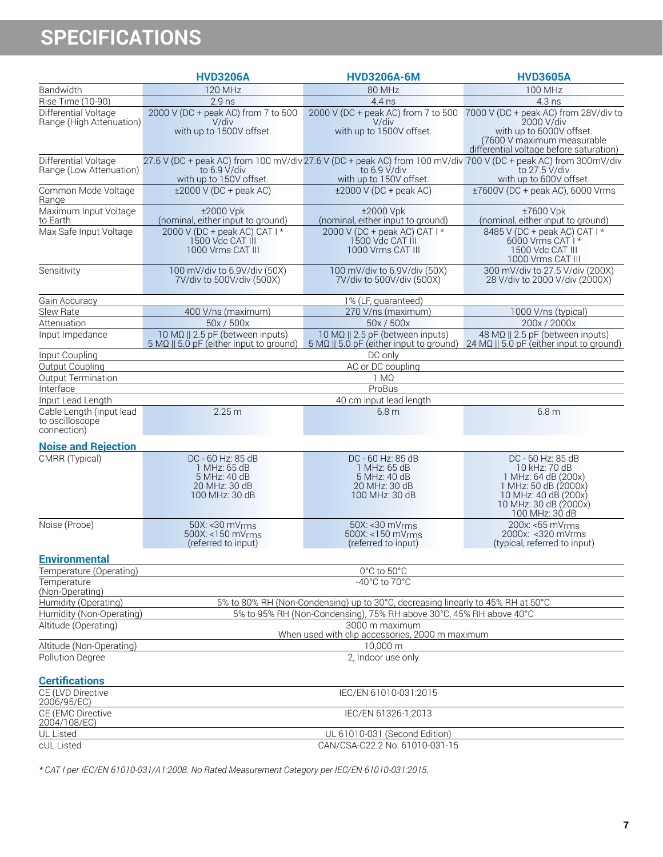# **SPECIFICATIONS**

|                                                            | <b>HVD3206A</b>                                                                      | <b>HVD3206A-6M</b>                                                                   | <b>HVD3605A</b>                                                                                                                                                        |  |  |  |
|------------------------------------------------------------|--------------------------------------------------------------------------------------|--------------------------------------------------------------------------------------|------------------------------------------------------------------------------------------------------------------------------------------------------------------------|--|--|--|
| Bandwidth                                                  | <b>120 MHz</b>                                                                       | 80 MHz                                                                               | <b>100 MHz</b>                                                                                                                                                         |  |  |  |
| Rise Time (10-90)                                          | $2.9$ ns                                                                             | 4.4 ns                                                                               | 4.3 ns                                                                                                                                                                 |  |  |  |
| Differential Voltage<br>Range (High Attenuation)           | 2000 V (DC + peak AC) from 7 to 500<br>V/div<br>with up to 1500V offset.             | 2000 V (DC + peak AC) from 7 to 500<br>V/div<br>with up to 1500V offset.             | 7000 V (DC + peak AC) from 28V/div to<br>2000 V/div<br>with up to 6000V offset.<br>(7600 V maximum measurable<br>differential voltage before saturation)               |  |  |  |
| Differential Voltage<br>Range (Low Attenuation)            | to 6.9 V/div<br>with up to 150V offset.                                              | to 6.9 V/div<br>with up to 150V offset.                                              | 27.6 V (DC + peak AC) from 100 mV/div 27.6 V (DC + peak AC) from 100 mV/div 700 V (DC + peak AC) from 300mV/div<br>to 27.5 V/div<br>with up to 600V offset.            |  |  |  |
| Common Mode Voltage<br>Range                               | $\pm 2000$ V (DC + peak AC)                                                          | $\pm 2000$ V (DC + peak AC)                                                          | ±7600V (DC + peak AC), 6000 Vrms                                                                                                                                       |  |  |  |
| Maximum Input Voltage<br>to Earth                          | ±2000 Vpk<br>(nominal, either input to ground)                                       | ±2000 Vpk<br>(nominal, either input to ground)                                       | ±7600 Vpk<br>(nominal, either input to ground)                                                                                                                         |  |  |  |
| Max Safe Input Voltage                                     | 2000 V (DC + peak AC) CAT I *<br>1500 Vdc CAT III<br>1000 Vrms CAT III               | 2000 V (DC + peak AC) CAT   *<br>1500 Vdc CAT III<br>1000 Vrms CAT III               | 8485 V (DC + peak AC) CAT I *<br>6000 Vrms CAT <sup>1</sup> *<br>1500 Vdc CAT III<br>1000 Vrms CAT III                                                                 |  |  |  |
| Sensitivity                                                | 100 mV/div to 6.9V/div (50X)<br>7V/div to 500V/div (500X)                            | 100 mV/div to 6.9V/div (50X)<br>7V/div to 500V/div (500X)                            | 300 mV/div to 27.5 V/div (200X)<br>28 V/div to 2000 V/div (2000X)                                                                                                      |  |  |  |
| Gain Accuracy                                              |                                                                                      | 1% (LF, guaranteed)                                                                  |                                                                                                                                                                        |  |  |  |
| Slew Rate                                                  | 400 V/ns (maximum)                                                                   | 270 V/ns (maximum)                                                                   | 1000 V/ns (typical)                                                                                                                                                    |  |  |  |
| Attenuation                                                | 50x / 500x                                                                           | 50x / 500x                                                                           | 200x / 2000x                                                                                                                                                           |  |  |  |
| Input Impedance                                            | 10 ΜΩ    2.5 pF (between inputs)<br>$5 MQ    5.0 pF$ (either input to ground)        | 10 MΩ    2.5 pF (between inputs)                                                     | 48 ΜΩ    2.5 pF (between inputs)<br>$5 \text{ M}\Omega$    $5.0 \text{ pF}$ (either input to ground) $24 \text{ M}\Omega$    $5.0 \text{ pF}$ (either input to ground) |  |  |  |
| Input Coupling                                             |                                                                                      | DC only                                                                              |                                                                                                                                                                        |  |  |  |
| Output Coupling                                            |                                                                                      | AC or DC coupling                                                                    |                                                                                                                                                                        |  |  |  |
| Output Termination                                         |                                                                                      | $1 M\Omega$                                                                          |                                                                                                                                                                        |  |  |  |
| Interface                                                  |                                                                                      | ProBus                                                                               |                                                                                                                                                                        |  |  |  |
| Input Lead Length                                          |                                                                                      | 40 cm input lead length                                                              |                                                                                                                                                                        |  |  |  |
| Cable Length (input lead<br>to oscilloscope<br>connection) | 2.25 <sub>m</sub>                                                                    | 6.8 <sub>m</sub>                                                                     | 6.8 <sub>m</sub>                                                                                                                                                       |  |  |  |
| <b>Noise and Rejection</b>                                 |                                                                                      |                                                                                      |                                                                                                                                                                        |  |  |  |
| CMRR (Typical)                                             | DC - 60 Hz: 85 dB<br>1 MHz: 65 dB<br>5 MHz: 40 dB<br>20 MHz: 30 dB<br>100 MHz: 30 dB | DC - 60 Hz: 85 dB<br>1 MHz: 65 dB<br>5 MHz: 40 dB<br>20 MHz: 30 dB<br>100 MHz: 30 dB | DC - 60 Hz: 85 dB<br>10 kHz: 70 dB<br>1 MHz: 64 dB (200x)<br>1 MHz: 50 dB (2000x)<br>10 MHz: 40 dB (200x)<br>10 MHz: 30 dB (2000x)<br>100 MHz: 30 dB                   |  |  |  |
| Noise (Probe)                                              | 50X: < 30 mVrms<br>500X: <150 mVrms<br>(referred to input)                           | 50X: < 30 mVrms<br>500X: <150 mVrms<br>(referred to input)                           | $200x$ : <65 mV $rms$<br>2000x: < 320 mVrms<br>(typical, referred to input)                                                                                            |  |  |  |
| <b>Environmental</b>                                       |                                                                                      |                                                                                      |                                                                                                                                                                        |  |  |  |
| Temperature (Operating)                                    | 0°C to 50°C                                                                          |                                                                                      |                                                                                                                                                                        |  |  |  |
| Temperature<br>(Non-Operating)                             |                                                                                      | -40°C to 70°C                                                                        |                                                                                                                                                                        |  |  |  |
| Humidity (Operating)                                       |                                                                                      | 5% to 80% RH (Non-Condensing) up to 30°C, decreasing linearly to 45% RH at 50°C      |                                                                                                                                                                        |  |  |  |
| Humidity (Non-Operating)                                   |                                                                                      | 5% to 95% RH (Non-Condensing), 75% RH above 30°C, 45% RH above 40°C                  |                                                                                                                                                                        |  |  |  |
| Altitude (Operating)                                       |                                                                                      | 3000 m maximum<br>When used with clip accessories, 2000 m maximum                    |                                                                                                                                                                        |  |  |  |
| Altitude (Non-Operating)                                   |                                                                                      | 10,000 m                                                                             |                                                                                                                                                                        |  |  |  |
| Pollution Degree                                           |                                                                                      | 2, Indoor use only                                                                   |                                                                                                                                                                        |  |  |  |
| <b>Certifications</b><br>CE (LVD Directive                 |                                                                                      | IEC/EN 61010-031:2015                                                                |                                                                                                                                                                        |  |  |  |
| 2006/95/EC)<br>CE (EMC Directive<br>2004/108/EC)           |                                                                                      | IEC/EN 61326-1:2013                                                                  |                                                                                                                                                                        |  |  |  |
| UL Listed<br>cUL Listed                                    |                                                                                      | UL 61010-031 (Second Edition)<br>CAN/CSA-C22.2 No. 61010-031-15                      |                                                                                                                                                                        |  |  |  |

*\* CAT I per IEC/EN 61010-031/A1:2008. No Rated Measurement Category per IEC/EN 61010-031:2015.*